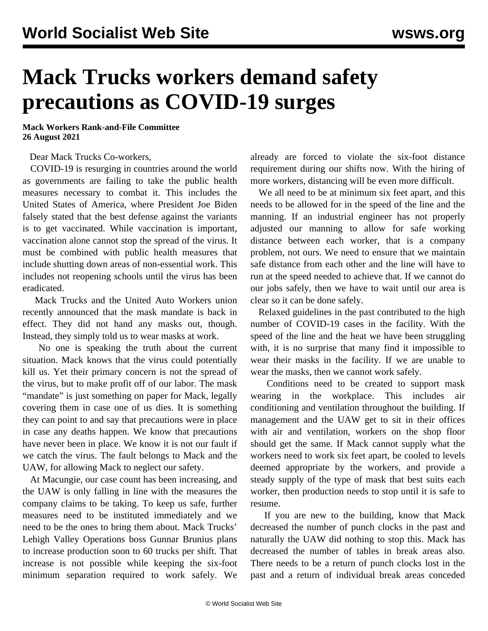## **Mack Trucks workers demand safety precautions as COVID-19 surges**

**Mack Workers Rank-and-File Committee 26 August 2021**

Dear Mack Trucks Co-workers,

 COVID-19 is resurging in countries around the world as governments are failing to take the public health measures necessary to combat it. This includes the United States of America, where President Joe Biden falsely stated that the best defense against the variants is to get vaccinated. While vaccination is important, vaccination alone cannot stop the spread of the virus. It must be combined with public health measures that include shutting down areas of non-essential work. This includes not reopening schools until the virus has been eradicated.

 Mack Trucks and the United Auto Workers union recently announced that the mask mandate is back in effect. They did not hand any masks out, though. Instead, they simply told us to wear masks at work.

 No one is speaking the truth about the current situation. Mack knows that the virus could potentially kill us. Yet their primary concern is not the spread of the virus, but to make profit off of our labor. The mask "mandate" is just something on paper for Mack, legally covering them in case one of us dies. It is something they can point to and say that precautions were in place in case any deaths happen. We know that precautions have never been in place. We know it is not our fault if we catch the virus. The fault belongs to Mack and the UAW, for allowing Mack to neglect our safety.

 At Macungie, our case count has been increasing, and the UAW is only falling in line with the measures the company claims to be taking. To keep us safe, further measures need to be instituted immediately and we need to be the ones to bring them about. Mack Trucks' Lehigh Valley Operations boss Gunnar Brunius plans to increase production soon to 60 trucks per shift. That increase is not possible while keeping the six-foot minimum separation required to work safely. We

already are forced to violate the six-foot distance requirement during our shifts now. With the hiring of more workers, distancing will be even more difficult.

 We all need to be at minimum six feet apart, and this needs to be allowed for in the speed of the line and the manning. If an industrial engineer has not properly adjusted our manning to allow for safe working distance between each worker, that is a company problem, not ours. We need to ensure that we maintain safe distance from each other and the line will have to run at the speed needed to achieve that. If we cannot do our jobs safely, then we have to wait until our area is clear so it can be done safely.

 Relaxed guidelines in the past contributed to the high number of COVID-19 cases in the facility. With the speed of the line and the heat we have been struggling with, it is no surprise that many find it impossible to wear their masks in the facility. If we are unable to wear the masks, then we cannot work safely.

 Conditions need to be created to support mask wearing in the workplace. This includes air conditioning and ventilation throughout the building. If management and the UAW get to sit in their offices with air and ventilation, workers on the shop floor should get the same. If Mack cannot supply what the workers need to work six feet apart, be cooled to levels deemed appropriate by the workers, and provide a steady supply of the type of mask that best suits each worker, then production needs to stop until it is safe to resume.

 If you are new to the building, know that Mack decreased the number of punch clocks in the past and naturally the UAW did nothing to stop this. Mack has decreased the number of tables in break areas also. There needs to be a return of punch clocks lost in the past and a return of individual break areas conceded